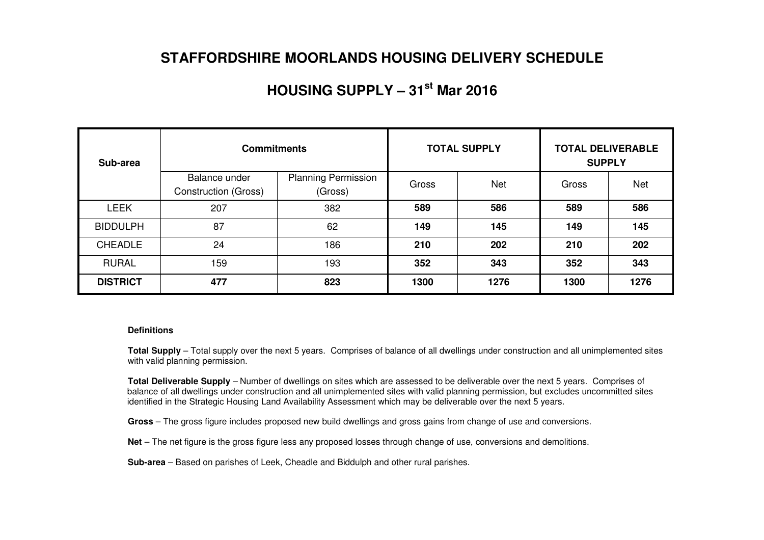### **STAFFORDSHIRE MOORLANDS HOUSING DELIVERY SCHEDULE**

## **HOUSING SUPPLY – 31st Mar 2016**

| Sub-area        | <b>Commitments</b>                           |                                       |       | <b>TOTAL SUPPLY</b> | <b>TOTAL DELIVERABLE</b><br><b>SUPPLY</b> |            |  |
|-----------------|----------------------------------------------|---------------------------------------|-------|---------------------|-------------------------------------------|------------|--|
|                 | Balance under<br><b>Construction (Gross)</b> | <b>Planning Permission</b><br>(Gross) | Gross | <b>Net</b>          | Gross                                     | <b>Net</b> |  |
| <b>LEEK</b>     | 207                                          | 382                                   | 589   | 586                 | 589                                       | 586        |  |
| <b>BIDDULPH</b> | 87                                           | 62                                    | 149   | 145                 | 149                                       | 145        |  |
| <b>CHEADLE</b>  | 24                                           | 186                                   | 210   | 202                 | 210                                       | 202        |  |
| <b>RURAL</b>    | 159                                          | 193                                   | 352   | 343                 | 352                                       | 343        |  |
| <b>DISTRICT</b> | 477                                          | 823                                   | 1300  | 1276                | 1300                                      | 1276       |  |

#### **Definitions**

**Total Supply** – Total supply over the next 5 years. Comprises of balance of all dwellings under construction and all unimplemented sites with valid planning permission.

**Total Deliverable Supply** – Number of dwellings on sites which are assessed to be deliverable over the next 5 years. Comprises of balance of all dwellings under construction and all unimplemented sites with valid planning permission, but excludes uncommitted sites identified in the Strategic Housing Land Availability Assessment which may be deliverable over the next 5 years.

**Gross** – The gross figure includes proposed new build dwellings and gross gains from change of use and conversions.

**Net** – The net figure is the gross figure less any proposed losses through change of use, conversions and demolitions.

**Sub-area** – Based on parishes of Leek, Cheadle and Biddulph and other rural parishes.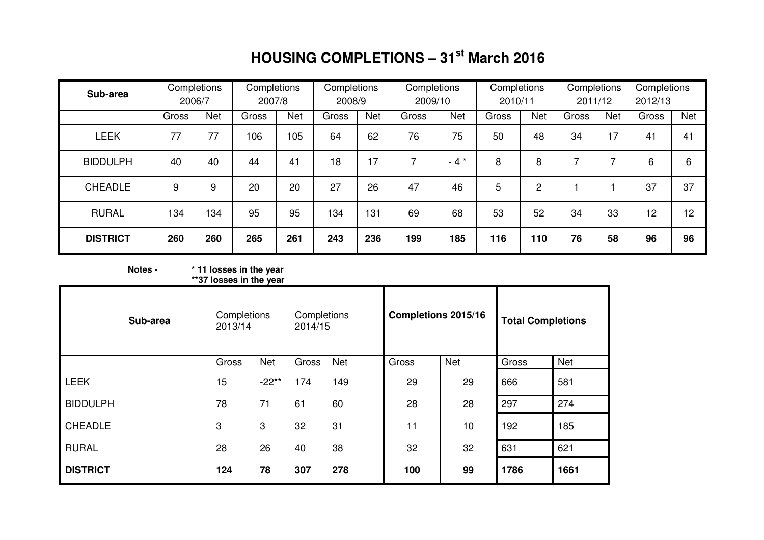## **HOUSING COMPLETIONS – 31st March 2016**

| Sub-area        |       | Completions<br>2006/7 | Completions<br>2007/8 |     | Completions<br>2008/9 |     | Completions<br>2009/10 |        | Completions<br>2010/11 |                | Completions<br>2011/12 |            | Completions<br>2012/13 |            |
|-----------------|-------|-----------------------|-----------------------|-----|-----------------------|-----|------------------------|--------|------------------------|----------------|------------------------|------------|------------------------|------------|
|                 | Gross | Net                   | Gross                 | Net | Gross                 | Net | Gross                  | Net    | Gross                  | <b>Net</b>     | Gross                  | <b>Net</b> | Gross                  | <b>Net</b> |
| <b>LEEK</b>     | 77    | 77                    | 106                   | 105 | 64                    | 62  | 76                     | 75     | 50                     | 48             | 34                     | 17         | 41                     | 41         |
| <b>BIDDULPH</b> | 40    | 40                    | 44                    | 41  | 18                    | 17  | 7                      | $-4$ * | 8                      | 8              |                        | ⇁          | 6                      | 6          |
| <b>CHEADLE</b>  | 9     | 9                     | 20                    | 20  | 27                    | 26  | 47                     | 46     | 5                      | $\overline{2}$ |                        |            | 37                     | 37         |
| <b>RURAL</b>    | 134   | 134                   | 95                    | 95  | 134                   | 131 | 69                     | 68     | 53                     | 52             | 34                     | 33         | 12                     | 12         |
| <b>DISTRICT</b> | 260   | 260                   | 265                   | 261 | 243                   | 236 | 199                    | 185    | 116                    | 110            | 76                     | 58         | 96                     | 96         |

**Notes - \* 11 losses in the year \*\*37 losses in the year** 

| Sub-area        | Completions<br>2013/14 |            | Completions<br>2014/15 |     | Completions 2015/16 |            | <b>Total Completions</b> |      |  |
|-----------------|------------------------|------------|------------------------|-----|---------------------|------------|--------------------------|------|--|
|                 | Gross                  | <b>Net</b> | Gross                  | Net | Gross               | <b>Net</b> | Gross                    | Net  |  |
| <b>LEEK</b>     | 15                     | $-22**$    | 174                    | 149 | 29                  | 29         | 666                      | 581  |  |
| <b>BIDDULPH</b> | 78                     | 71         | 61                     | 60  | 28                  | 28         | 297                      | 274  |  |
| <b>CHEADLE</b>  | 3                      | 3          | 32                     | 31  | 11                  | 10         | 192                      | 185  |  |
| <b>RURAL</b>    | 28                     | 26         | 40                     | 38  | 32                  | 32         | 631                      | 621  |  |
| <b>DISTRICT</b> | 124                    | 78         | 307                    | 278 | 100                 | 99         | 1786                     | 1661 |  |